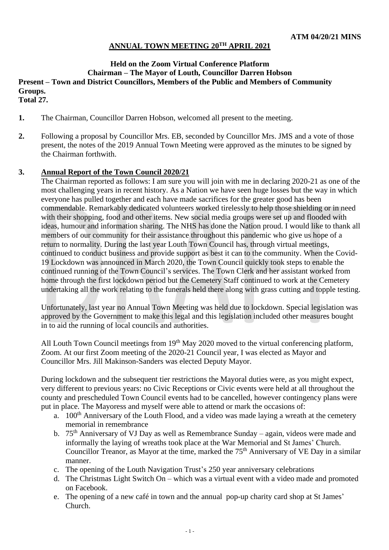## **ANNUAL TOWN MEETING 20 TH APRIL 2021**

# **Held on the Zoom Virtual Conference Platform Chairman – The Mayor of Louth, Councillor Darren Hobson Present – Town and District Councillors, Members of the Public and Members of Community Groups.**

**Total 27.**

- **1.** The Chairman, Councillor Darren Hobson, welcomed all present to the meeting.
- **2.** Following a proposal by Councillor Mrs. EB, seconded by Councillor Mrs. JMS and a vote of those present, the notes of the 2019 Annual Town Meeting were approved as the minutes to be signed by the Chairman forthwith.

#### **3. Annual Report of the Town Council 2020/21**

The Chairman reported as follows: I am sure you will join with me in declaring 2020-21 as one of the most challenging years in recent history. As a Nation we have seen huge losses but the way in which everyone has pulled together and each have made sacrifices for the greater good has been commendable. Remarkably dedicated volunteers worked tirelessly to help those shielding or in need with their shopping, food and other items. New social media groups were set up and flooded with ideas, humour and information sharing. The NHS has done the Nation proud. I would like to thank all members of our community for their assistance throughout this pandemic who give us hope of a return to normality. During the last year Louth Town Council has, through virtual meetings, continued to conduct business and provide support as best it can to the community. When the Covid-19 Lockdown was announced in March 2020, the Town Council quickly took steps to enable the continued running of the Town Council's services. The Town Clerk and her assistant worked from home through the first lockdown period but the Cemetery Staff continued to work at the Cemetery undertaking all the work relating to the funerals held there along with grass cutting and topple testing.

Unfortunately, last year no Annual Town Meeting was held due to lockdown. Special legislation was approved by the Government to make this legal and this legislation included other measures bought in to aid the running of local councils and authorities.

All Louth Town Council meetings from 19<sup>th</sup> May 2020 moved to the virtual conferencing platform, Zoom. At our first Zoom meeting of the 2020-21 Council year, I was elected as Mayor and Councillor Mrs. Jill Makinson-Sanders was elected Deputy Mayor.

During lockdown and the subsequent tier restrictions the Mayoral duties were, as you might expect, very different to previous years: no Civic Receptions or Civic events were held at all throughout the county and prescheduled Town Council events had to be cancelled, however contingency plans were put in place. The Mayoress and myself were able to attend or mark the occasions of:

- a.  $100<sup>th</sup>$  Anniversary of the Louth Flood, and a video was made laying a wreath at the cemetery memorial in remembrance
- b. 75<sup>th</sup> Anniversary of VJ Day as well as Remembrance Sunday again, videos were made and informally the laying of wreaths took place at the War Memorial and St James' Church. Councillor Treanor, as Mayor at the time, marked the 75<sup>th</sup> Anniversary of VE Day in a similar manner.
- c. The opening of the Louth Navigation Trust's 250 year anniversary celebrations
- d. The Christmas Light Switch On which was a virtual event with a video made and promoted on Facebook.
- e. The opening of a new café in town and the annual pop-up charity card shop at St James' Church.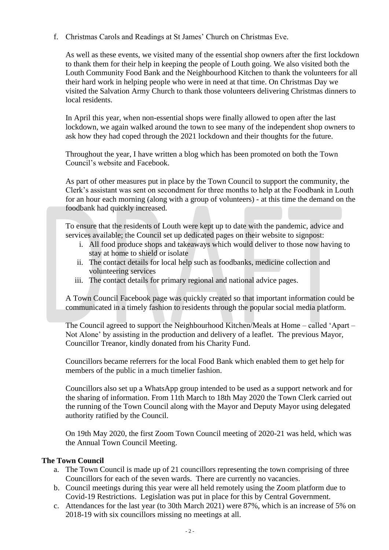f. Christmas Carols and Readings at St James' Church on Christmas Eve.

As well as these events, we visited many of the essential shop owners after the first lockdown to thank them for their help in keeping the people of Louth going. We also visited both the Louth Community Food Bank and the Neighbourhood Kitchen to thank the volunteers for all their hard work in helping people who were in need at that time. On Christmas Day we visited the Salvation Army Church to thank those volunteers delivering Christmas dinners to local residents.

In April this year, when non-essential shops were finally allowed to open after the last lockdown, we again walked around the town to see many of the independent shop owners to ask how they had coped through the 2021 lockdown and their thoughts for the future.

Throughout the year, I have written a blog which has been promoted on both the Town Council's website and Facebook.

As part of other measures put in place by the Town Council to support the community, the Clerk's assistant was sent on secondment for three months to help at the Foodbank in Louth for an hour each morning (along with a group of volunteers) - at this time the demand on the foodbank had quickly increased.

To ensure that the residents of Louth were kept up to date with the pandemic, advice and services available; the Council set up dedicated pages on their website to signpost:

- i. All food produce shops and takeaways which would deliver to those now having to stay at home to shield or isolate
- ii. The contact details for local help such as foodbanks, medicine collection and volunteering services
- iii. The contact details for primary regional and national advice pages.

A Town Council Facebook page was quickly created so that important information could be communicated in a timely fashion to residents through the popular social media platform.

The Council agreed to support the Neighbourhood Kitchen/Meals at Home – called 'Apart – Not Alone' by assisting in the production and delivery of a leaflet. The previous Mayor, Councillor Treanor, kindly donated from his Charity Fund.

Councillors became referrers for the local Food Bank which enabled them to get help for members of the public in a much timelier fashion.

Councillors also set up a WhatsApp group intended to be used as a support network and for the sharing of information. From 11th March to 18th May 2020 the Town Clerk carried out the running of the Town Council along with the Mayor and Deputy Mayor using delegated authority ratified by the Council.

On 19th May 2020, the first Zoom Town Council meeting of 2020-21 was held, which was the Annual Town Council Meeting.

#### **The Town Council**

- a. The Town Council is made up of 21 councillors representing the town comprising of three Councillors for each of the seven wards. There are currently no vacancies.
- b. Council meetings during this year were all held remotely using the Zoom platform due to Covid-19 Restrictions.Legislation was put in place for this by Central Government.
- c. Attendances for the last year (to 30th March 2021) were 87%, which is an increase of 5% on 2018-19 with six councillors missing no meetings at all.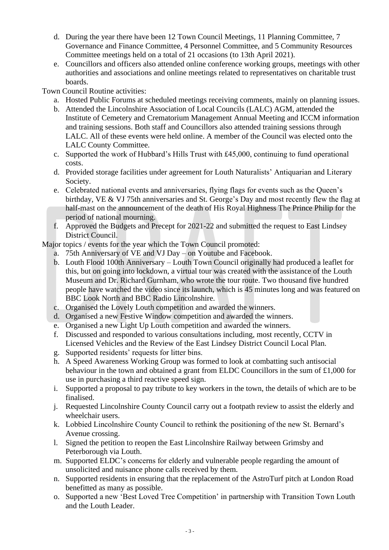- d. During the year there have been 12 Town Council Meetings, 11 Planning Committee, 7 Governance and Finance Committee, 4 Personnel Committee, and 5 Community Resources Committee meetings held on a total of 21 occasions (to 13th April 2021).
- e. Councillors and officers also attended online conference working groups, meetings with other authorities and associations and online meetings related to representatives on charitable trust boards.

Town Council Routine activities:

- a. Hosted Public Forums at scheduled meetings receiving comments, mainly on planning issues.
- b. Attended the Lincolnshire Association of Local Councils (LALC) AGM, attended the Institute of Cemetery and Crematorium Management Annual Meeting and ICCM information and training sessions. Both staff and Councillors also attended training sessions through LALC. All of these events were held online. A member of the Council was elected onto the LALC County Committee.
- c. Supported the work of Hubbard's Hills Trust with £45,000, continuing to fund operational costs.
- d. Provided storage facilities under agreement for Louth Naturalists' Antiquarian and Literary Society.
- e. Celebrated national events and anniversaries, flying flags for events such as the Queen's birthday, VE & VJ 75th anniversaries and St. George's Day and most recently flew the flag at half-mast on the announcement of the death of His Royal Highness The Prince Philip for the period of national mourning.
- f. Approved the Budgets and Precept for 2021-22 and submitted the request to East Lindsey District Council.

Major topics / events for the year which the Town Council promoted:

- a. 75th Anniversary of VE and VJ Day on Youtube and Facebook.
- b. Louth Flood 100th Anniversary Louth Town Council originally had produced a leaflet for this, but on going into lockdown, a virtual tour was created with the assistance of the Louth Museum and Dr. Richard Gurnham, who wrote the tour route. Two thousand five hundred people have watched the video since its launch, which is 45 minutes long and was featured on BBC Look North and BBC Radio Lincolnshire.
- c. Organised the Lovely Louth competition and awarded the winners.
- d. Organised a new Festive Window competition and awarded the winners.
- e. Organised a new Light Up Louth competition and awarded the winners.
- f. Discussed and responded to various consultations including, most recently, CCTV in Licensed Vehicles and the Review of the East Lindsey District Council Local Plan.
- g. Supported residents' requests for litter bins.
- h. A Speed Awareness Working Group was formed to look at combatting such antisocial behaviour in the town and obtained a grant from ELDC Councillors in the sum of £1,000 for use in purchasing a third reactive speed sign.
- i. Supported a proposal to pay tribute to key workers in the town, the details of which are to be finalised.
- j. Requested Lincolnshire County Council carry out a footpath review to assist the elderly and wheelchair users.
- k. Lobbied Lincolnshire County Council to rethink the positioning of the new St. Bernard's Avenue crossing.
- l. Signed the petition to reopen the East Lincolnshire Railway between Grimsby and Peterborough via Louth.
- m. Supported ELDC's concerns for elderly and vulnerable people regarding the amount of unsolicited and nuisance phone calls received by them.
- n. Supported residents in ensuring that the replacement of the AstroTurf pitch at London Road benefitted as many as possible.
- o. Supported a new 'Best Loved Tree Competition' in partnership with Transition Town Louth and the Louth Leader.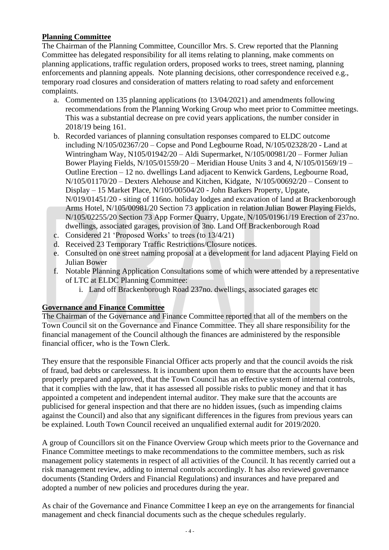### **Planning Committee**

The Chairman of the Planning Committee, Councillor Mrs. S. Crew reported that the Planning Committee has delegated responsibility for all items relating to planning, make comments on planning applications, traffic regulation orders, proposed works to trees, street naming, planning enforcements and planning appeals. Note planning decisions, other correspondence received e.g., temporary road closures and consideration of matters relating to road safety and enforcement complaints.

- a. Commented on 135 planning applications (to 13/04/2021) and amendments following recommendations from the Planning Working Group who meet prior to Committee meetings. This was a substantial decrease on pre covid years applications, the number consider in 2018/19 being 161.
- b. Recorded variances of planning consultation responses compared to ELDC outcome including N/105/02367/20 – Copse and Pond Legbourne Road, N/105/02328/20 - Land at Wintringham Way, N105/01942/20 – Aldi Supermarket, N/105/00981/20 – Former Julian Bower Playing Fields, N/105/01559/20 – Meridian House Units 3 and 4, N/105/01569/19 – Outline Erection – 12 no. dwellings Land adjacent to Kenwick Gardens, Legbourne Road, N/105/01170/20 – Dexters Alehouse and Kitchen, Kidgate, N/105/00692/20 – Consent to Display – 15 Market Place, N/105/00504/20 - John Barkers Property, Upgate, N/019/01451/20 - siting of 116no. holiday lodges and excavation of land at Brackenborough Arms Hotel, N/105/00981/20 Section 73 application in relation Julian Bower Playing Fields, N/105/02255/20 Section 73 App Former Quarry, Upgate, N/105/01961/19 Erection of 237no. dwellings, associated garages, provision of 3no. Land Off Brackenborough Road
- c. Considered 21 'Proposed Works' to trees (to 13/4/21)
- d. Received 23 Temporary Traffic Restrictions/Closure notices.
- e. Consulted on one street naming proposal at a development for land adjacent Playing Field on Julian Bower
- f. Notable Planning Application Consultations some of which were attended by a representative of LTC at ELDC Planning Committee:
	- i. Land off Brackenborough Road 237no. dwellings, associated garages etc

### **Governance and Finance Committee**

The Chairman of the Governance and Finance Committee reported that all of the members on the Town Council sit on the Governance and Finance Committee. They all share responsibility for the financial management of the Council although the finances are administered by the responsible financial officer, who is the Town Clerk.

They ensure that the responsible Financial Officer acts properly and that the council avoids the risk of fraud, bad debts or carelessness. It is incumbent upon them to ensure that the accounts have been properly prepared and approved, that the Town Council has an effective system of internal controls, that it complies with the law, that it has assessed all possible risks to public money and that it has appointed a competent and independent internal auditor. They make sure that the accounts are publicised for general inspection and that there are no hidden issues, (such as impending claims against the Council) and also that any significant differences in the figures from previous years can be explained. Louth Town Council received an unqualified external audit for 2019/2020.

A group of Councillors sit on the Finance Overview Group which meets prior to the Governance and Finance Committee meetings to make recommendations to the committee members, such as risk management policy statements in respect of all activities of the Council. It has recently carried out a risk management review, adding to internal controls accordingly. It has also reviewed governance documents (Standing Orders and Financial Regulations) and insurances and have prepared and adopted a number of new policies and procedures during the year.

As chair of the Governance and Finance Committee I keep an eye on the arrangements for financial management and check financial documents such as the cheque schedules regularly.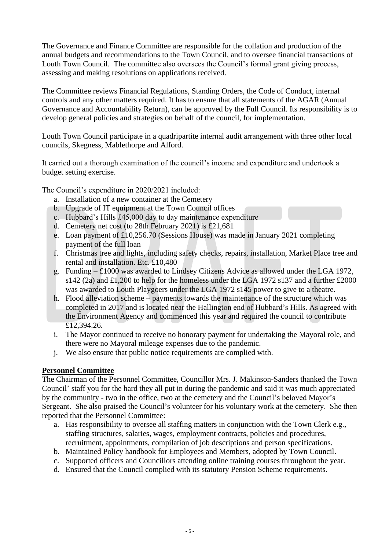The Governance and Finance Committee are responsible for the collation and production of the annual budgets and recommendations to the Town Council, and to oversee financial transactions of Louth Town Council. The committee also oversees the Council's formal grant giving process, assessing and making resolutions on applications received.

The Committee reviews Financial Regulations, Standing Orders, the Code of Conduct, internal controls and any other matters required. It has to ensure that all statements of the AGAR (Annual Governance and Accountability Return), can be approved by the Full Council. Its responsibility is to develop general policies and strategies on behalf of the council, for implementation.

Louth Town Council participate in a quadripartite internal audit arrangement with three other local councils, Skegness, Mablethorpe and Alford.

It carried out a thorough examination of the council's income and expenditure and undertook a budget setting exercise.

The Council's expenditure in 2020/2021 included:

- a. Installation of a new container at the Cemetery
- b. Upgrade of IT equipment at the Town Council offices
- c. Hubbard's Hills £45,000 day to day maintenance expenditure
- d. Cemetery net cost (to 28th February 2021) is £21,681
- e. Loan payment of £10,256.70 (Sessions House) was made in January 2021 completing payment of the full loan
- f. Christmas tree and lights, including safety checks, repairs, installation, Market Place tree and rental and installation. Etc. £10,480
- g. Funding £1000 was awarded to Lindsey Citizens Advice as allowed under the LGA 1972, s142 (2a) and £1,200 to help for the homeless under the LGA 1972 s137 and a further £2000 was awarded to Louth Playgoers under the LGA 1972 s145 power to give to a theatre.
- h. Flood alleviation scheme payments towards the maintenance of the structure which was completed in 2017 and is located near the Hallington end of Hubbard's Hills. As agreed with the Environment Agency and commenced this year and required the council to contribute £12,394.26.
- i. The Mayor continued to receive no honorary payment for undertaking the Mayoral role, and there were no Mayoral mileage expenses due to the pandemic.
- j. We also ensure that public notice requirements are complied with.

### **Personnel Committee**

The Chairman of the Personnel Committee, Councillor Mrs. J. Makinson-Sanders thanked the Town Council' staff you for the hard they all put in during the pandemic and said it was much appreciated by the community - two in the office, two at the cemetery and the Council's beloved Mayor's Sergeant. She also praised the Council's volunteer for his voluntary work at the cemetery. She then reported that the Personnel Committee:

- a. Has responsibility to oversee all staffing matters in conjunction with the Town Clerk e.g., staffing structures, salaries, wages, employment contracts, policies and procedures, recruitment, appointments, compilation of job descriptions and person specifications.
- b. Maintained Policy handbook for Employees and Members, adopted by Town Council.
- c. Supported officers and Councillors attending online training courses throughout the year.
- d. Ensured that the Council complied with its statutory Pension Scheme requirements.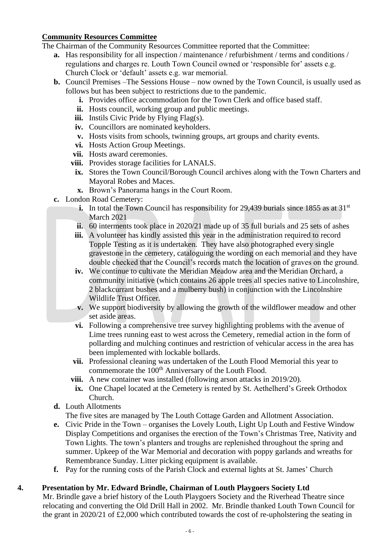#### **Community Resources Committee**

The Chairman of the Community Resources Committee reported that the Committee:

- **a.** Has responsibility for all inspection / maintenance / refurbishment / terms and conditions / regulations and charges re. Louth Town Council owned or 'responsible for' assets e.g. Church Clock or 'default' assets e.g. war memorial.
- **b.** Council Premises –The Sessions House now owned by the Town Council, is usually used as follows but has been subject to restrictions due to the pandemic.
	- **i.** Provides office accommodation for the Town Clerk and office based staff.
	- **ii.** Hosts council, working group and public meetings.
	- **iii.** Instils Civic Pride by Flying Flag(s).
	- **iv.** Councillors are nominated keyholders.
	- **v.** Hosts visits from schools, twinning groups, art groups and charity events.
	- **vi.** Hosts Action Group Meetings.
	- **vii.** Hosts award ceremonies.
	- **viii.** Provides storage facilities for LANALS.
	- **ix.** Stores the Town Council/Borough Council archives along with the Town Charters and Mayoral Robes and Maces.
	- **x.** Brown's Panorama hangs in the Court Room.
- **c.** London Road Cemetery:
	- **i.** In total the Town Council has responsibility for 29,439 burials since 1855 as at  $31<sup>st</sup>$ March 2021
	- **ii.** 60 interments took place in 2020/21 made up of 35 full burials and 25 sets of ashes
	- **iii.** A volunteer has kindly assisted this year in the administration required to record Topple Testing as it is undertaken. They have also photographed every single gravestone in the cemetery, cataloguing the wording on each memorial and they have double checked that the Council's records match the location of graves on the ground.
	- **iv.** We continue to cultivate the Meridian Meadow area and the Meridian Orchard, a community initiative (which contains 26 apple trees all species native to Lincolnshire, 2 blackcurrant bushes and a mulberry bush) in conjunction with the Lincolnshire Wildlife Trust Officer.
	- **v.** We support biodiversity by allowing the growth of the wildflower meadow and other set aside areas.
	- **vi.** Following a comprehensive tree survey highlighting problems with the avenue of Lime trees running east to west across the Cemetery, remedial action in the form of pollarding and mulching continues and restriction of vehicular access in the area has been implemented with lockable bollards.
	- **vii.** Professional cleaning was undertaken of the Louth Flood Memorial this year to commemorate the  $100<sup>th</sup>$  Anniversary of the Louth Flood.
	- **viii.** A new container was installed (following arson attacks in 2019/20).
	- **ix.** One Chapel located at the Cemetery is rented by St. Aethelherd's Greek Orthodox Church.
- **d.** Louth Allotments
	- The five sites are managed by The Louth Cottage Garden and Allotment Association.
- **e.** Civic Pride in the Town organises the Lovely Louth, Light Up Louth and Festive Window Display Competitions and organises the erection of the Town's Christmas Tree, Nativity and Town Lights. The town's planters and troughs are replenished throughout the spring and summer. Upkeep of the War Memorial and decoration with poppy garlands and wreaths for Remembrance Sunday. Litter picking equipment is available.
- **f.** Pay for the running costs of the Parish Clock and external lights at St. James' Church

# **4. Presentation by Mr. Edward Brindle, Chairman of Louth Playgoers Society Ltd**

Mr. Brindle gave a brief history of the Louth Playgoers Society and the Riverhead Theatre since relocating and converting the Old Drill Hall in 2002. Mr. Brindle thanked Louth Town Council for the grant in 2020/21 of £2,000 which contributed towards the cost of re-upholstering the seating in